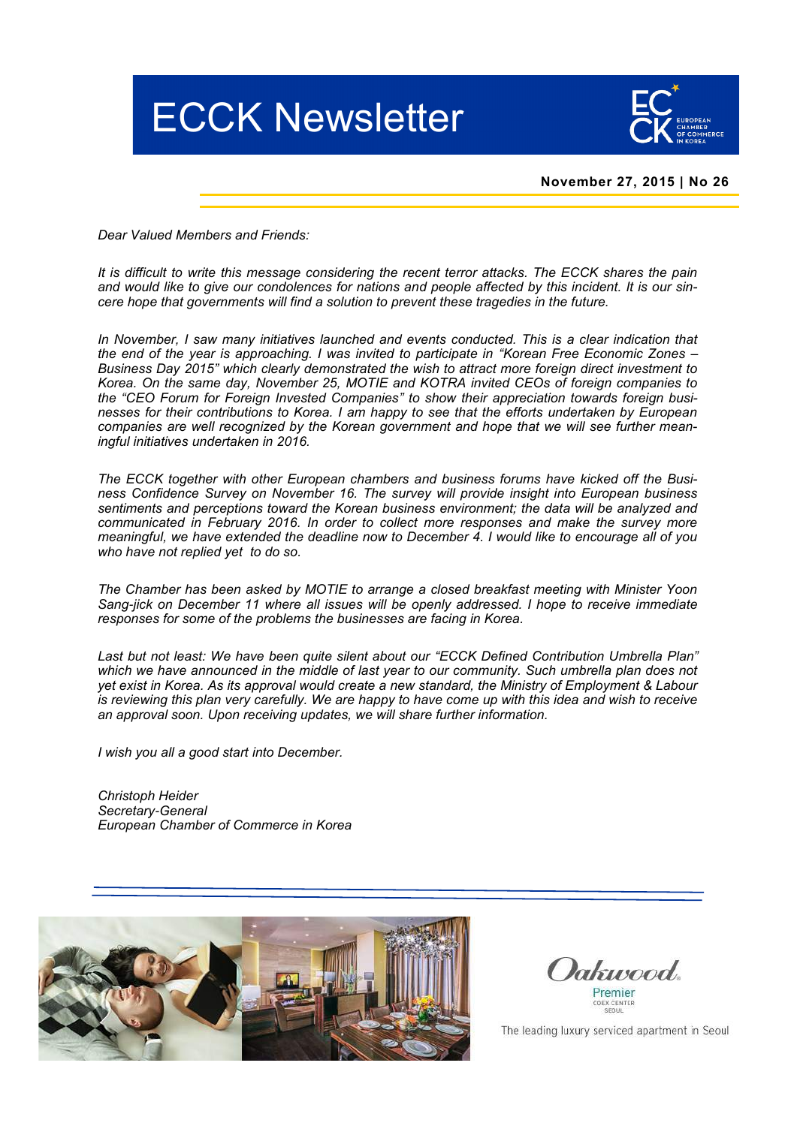



# **November 27, 2015 | No 26**

*Dear Valued Members and Friends:*

*It is difficult to write this message considering the recent terror attacks. The ECCK shares the pain and would like to give our condolences for nations and people affected by this incident. It is our sincere hope that governments will find a solution to prevent these tragedies in the future.*

*In November, I saw many initiatives launched and events conducted. This is a clear indication that the end of the year is approaching. I was invited to participate in "Korean Free Economic Zones – Business Day 2015" which clearly demonstrated the wish to attract more foreign direct investment to Korea. On the same day, November 25, MOTIE and KOTRA invited CEOs of foreign companies to the "CEO Forum for Foreign Invested Companies" to show their appreciation towards foreign businesses for their contributions to Korea. I am happy to see that the efforts undertaken by European companies are well recognized by the Korean government and hope that we will see further meaningful initiatives undertaken in 2016.*

*The ECCK together with other European chambers and business forums have kicked off the Business Confidence Survey on November 16. The survey will provide insight into European business sentiments and perceptions toward the Korean business environment; the data will be analyzed and communicated in February 2016. In order to collect more responses and make the survey more meaningful, we have extended the deadline now to December 4. I would like to encourage all of you who have not replied yet to do so.*

*The Chamber has been asked by MOTIE to arrange a closed breakfast meeting with Minister Yoon Sang*-*jick on December 11 where all issues will be openly addressed. I hope to receive immediate responses for some of the problems the businesses are facing in Korea.* 

Last but not least: We have been quite silent about our "ECCK Defined Contribution Umbrella Plan" *which we have announced in the middle of last year to our community. Such umbrella plan does not yet exist in Korea. As its approval would create a new standard, the Ministry of Employment & Labour is reviewing this plan very carefully. We are happy to have come up with this idea and wish to receive an approval soon. Upon receiving updates, we will share further information.*

*I wish you all a good start into December.*

*Christoph Heider Secretary*-*General European Chamber of Commerce in Korea* 



Dakusood Premier

The leading luxury serviced apartment in Seoul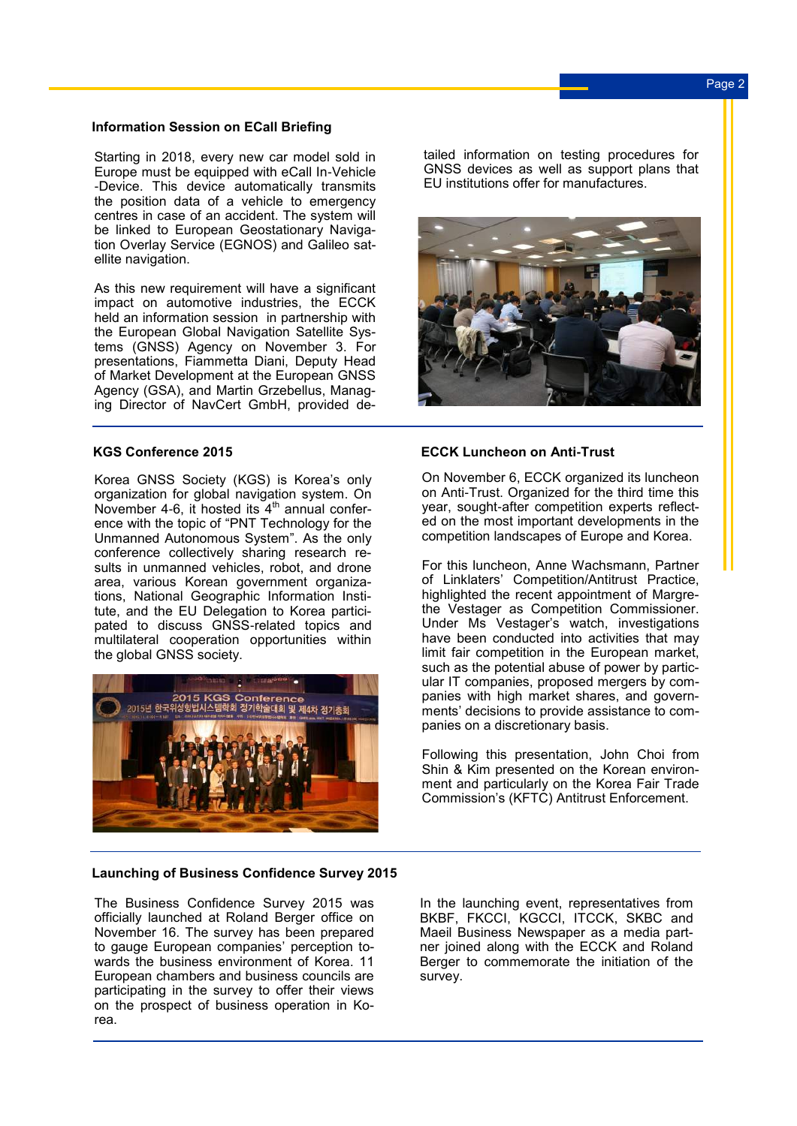# **Information Session on ECall Briefing**

Starting in 2018, every new car model sold in Europe must be equipped with eCall In-Vehicle -Device. This device automatically transmits the position data of a vehicle to emergency centres in case of an accident. The system will be linked to European Geostationary Navigation Overlay Service (EGNOS) and Galileo satellite navigation.

As this new requirement will have a significant impact on automotive industries, the ECCK held an information session in partnership with the European Global Navigation Satellite Systems (GNSS) Agency on November 3. For presentations, Fiammetta Diani, Deputy Head of Market Development at the European GNSS Agency (GSA), and Martin Grzebellus, Managing Director of NavCert GmbH, provided de-

# **KGS Conference 2015**

Korea GNSS Society (KGS) is Korea's only organization for global navigation system. On November 4-6, it hosted its  $4<sup>th</sup>$  annual conference with the topic of "PNT Technology for the Unmanned Autonomous System". As the only conference collectively sharing research results in unmanned vehicles, robot, and drone area, various Korean government organizations, National Geographic Information Institute, and the EU Delegation to Korea participated to discuss GNSS-related topics and multilateral cooperation opportunities within the global GNSS society.



# **Launching of Business Confidence Survey 2015**

The Business Confidence Survey 2015 was officially launched at Roland Berger office on November 16. The survey has been prepared to gauge European companies' perception towards the business environment of Korea. 11 European chambers and business councils are participating in the survey to offer their views on the prospect of business operation in Korea.

tailed information on testing procedures for GNSS devices as well as support plans that EU institutions offer for manufactures.



# **ECCK Luncheon on Anti-Trust**

On November 6, ECCK organized its luncheon on Anti-Trust. Organized for the third time this year, sought-after competition experts reflected on the most important developments in the competition landscapes of Europe and Korea.

For this luncheon, Anne Wachsmann, Partner of Linklaters' Competition/Antitrust Practice, highlighted the recent appointment of Margrethe Vestager as Competition Commissioner. Under Ms Vestager's watch, investigations have been conducted into activities that may limit fair competition in the European market, such as the potential abuse of power by particular IT companies, proposed mergers by companies with high market shares, and governments' decisions to provide assistance to companies on a discretionary basis.

Following this presentation, John Choi from Shin & Kim presented on the Korean environment and particularly on the Korea Fair Trade Commission's (KFTC) Antitrust Enforcement.

In the launching event, representatives from BKBF, FKCCI, KGCCI, ITCCK, SKBC and Maeil Business Newspaper as a media partner joined along with the ECCK and Roland Berger to commemorate the initiation of the survey.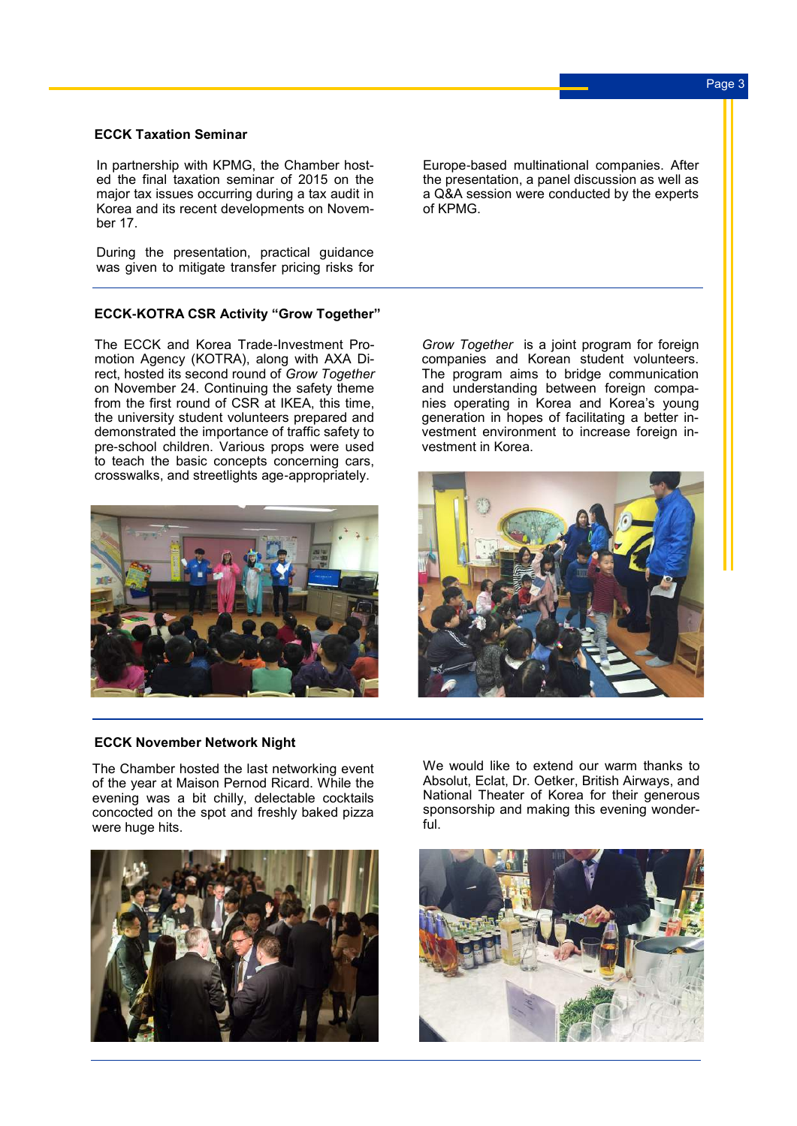### **ECCK Taxation Seminar**

In partnership with KPMG, the Chamber hosted the final taxation seminar of 2015 on the major tax issues occurring during a tax audit in Korea and its recent developments on November 17.

During the presentation, practical guidance was given to mitigate transfer pricing risks for

# **ECCK-KOTRA CSR Activity "Grow Together"**

The ECCK and Korea Trade-Investment Promotion Agency (KOTRA), along with AXA Direct, hosted its second round of *Grow Together* on November 24. Continuing the safety theme from the first round of CSR at IKEA, this time, the university student volunteers prepared and demonstrated the importance of traffic safety to pre-school children. Various props were used to teach the basic concepts concerning cars, crosswalks, and streetlights age-appropriately.



Europe-based multinational companies. After the presentation, a panel discussion as well as a Q&A session were conducted by the experts of KPMG.

*Grow Together* is a joint program for foreign companies and Korean student volunteers. The program aims to bridge communication and understanding between foreign companies operating in Korea and Korea's young generation in hopes of facilitating a better investment environment to increase foreign investment in Korea.



#### **ECCK November Network Night**

The Chamber hosted the last networking event of the year at Maison Pernod Ricard. While the evening was a bit chilly, delectable cocktails concocted on the spot and freshly baked pizza were huge hits.



We would like to extend our warm thanks to Absolut, Eclat, Dr. Oetker, British Airways, and National Theater of Korea for their generous sponsorship and making this evening wonderful.